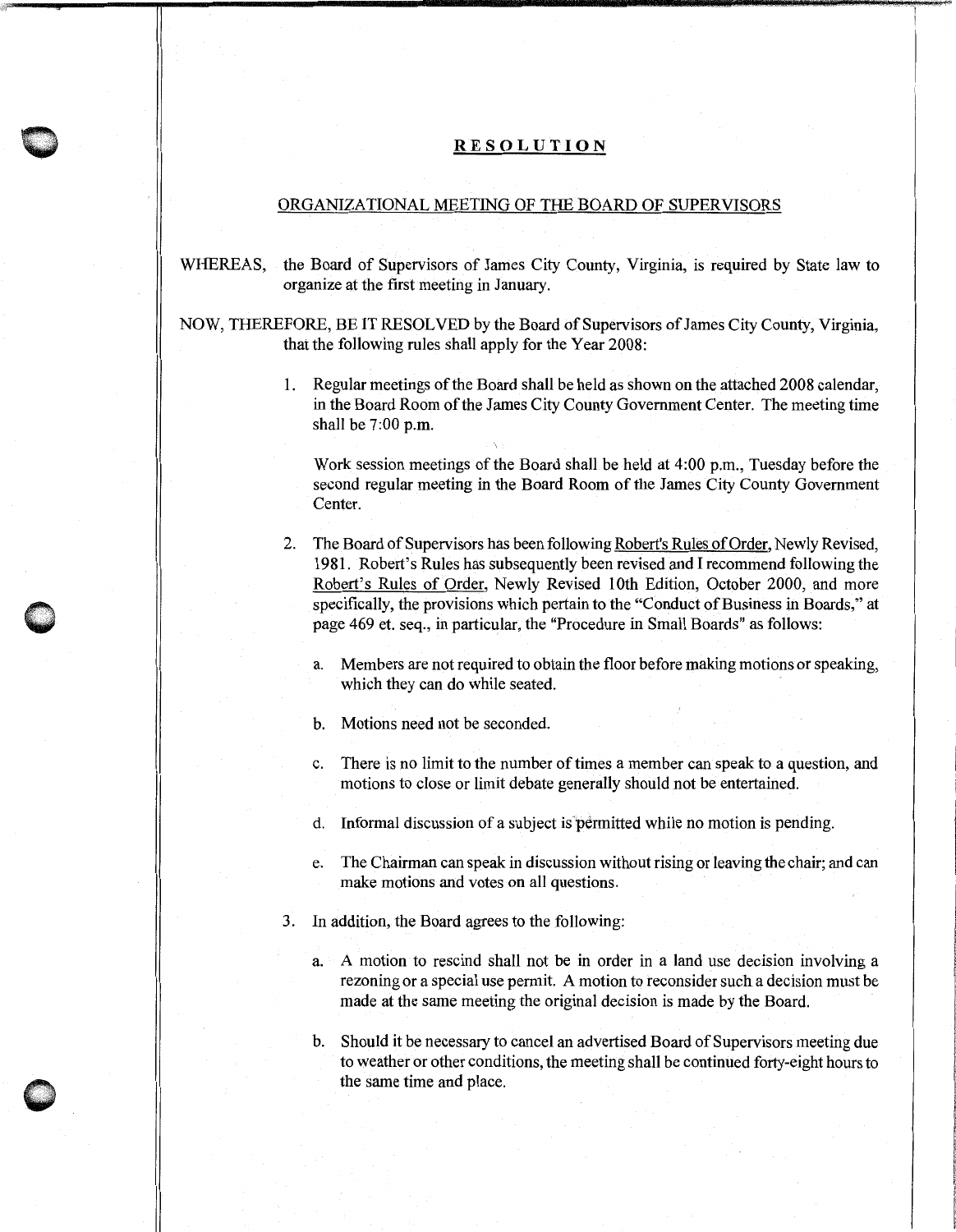## **RESOLUTION**

## ORGANIZATIONAL MEETING OF THE BOARD OF SUPERVISORS

WHEREAS, the Board of Supervisors of James City County, Virginia, is required by State law to organize at the first meeting in January.

NOW, THEREFORE, BE IT RESOLVED by the Board of Supervisors of James City County, Virginia, that the following rules shall apply for the Year 2008:

> I. Regular meetings of the Board shall be held as shown on the attached 2008 calendar, in the Board Room of the James City County Government Center. The meeting time shall be 7:00 p.m.

Work session meetings of the Board shall be held at 4:00 p.m., Tuesday before the second regular meeting in the Board Room of the James City County Government Center.

2. The Board of Supervisors has been following Robert's Rules of Order, Newly Revised, 1981. Robert's Rules has subsequently been revised and I recommend following the Robert's Rules of Order, Newly Revised 10th Edition, October 2000, and more specifically, the provisions which pertain to the "Conduct of Business in Boards," at page 469 et. seq., in particular, the "Procedure in Small Boards" as follows:

a. Members are not required to obtain the floor before making motions or speaking, which they can do while seated.

b. Motions need not be seconded.

c. There is no limit to the number of times a member can speak to a question, and motions to close or limit debate generally should not be entertained.

d. Informal discussion of a subject is permitted while no motion is pending.

- e. The Chairman can speak in discussion without rising or leaving the chair; and can make motions and votes on all questions.
- 3. In addition, the Board agrees to the following:
	- a. A motion to rescind shall not be in order in a land use decision involving a rezoning or a special use permit. A motion to reconsider such a decision must be made at the same meeting the original decision is made by the Board.
	- b. Should it be necessary to cancel an advertised Board of Supervisors meeting due to weather or other conditions, the meeting shall be continued forty-eight hours to the same time and place.